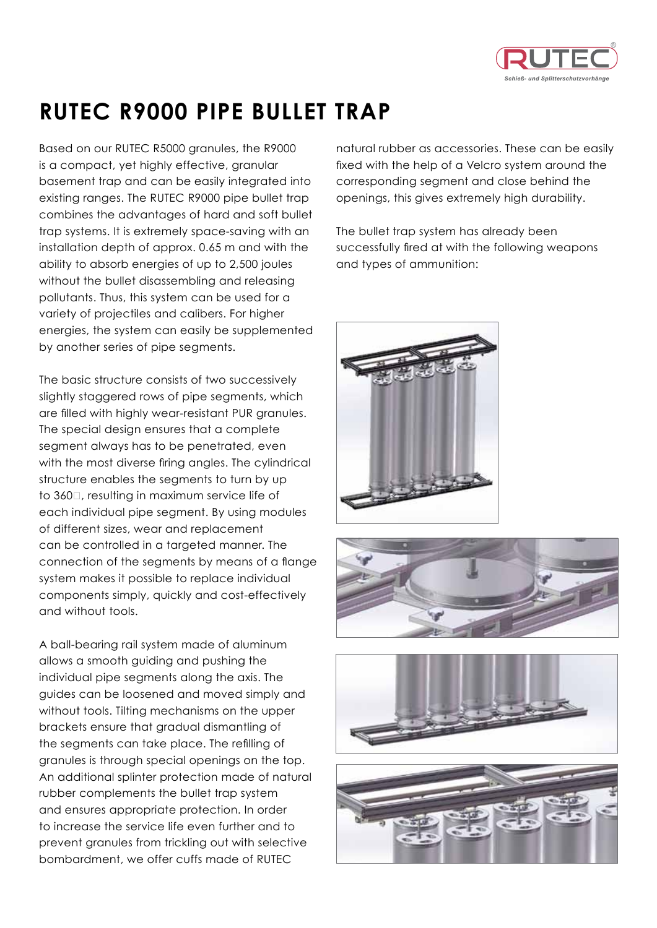

## **RUTEC R9000 pipe bullet trap**

Based on our RUTEC R5000 granules, the R9000 is a compact, yet highly effective, granular basement trap and can be easily integrated into existing ranges. The RUTEC R9000 pipe bullet trap combines the advantages of hard and soft bullet trap systems. It is extremely space-saving with an installation depth of approx. 0.65 m and with the ability to absorb energies of up to 2,500 joules without the bullet disassembling and releasing pollutants. Thus, this system can be used for a variety of projectiles and calibers. For higher energies, the system can easily be supplemented by another series of pipe segments.

The basic structure consists of two successively slightly staggered rows of pipe segments, which are filled with highly wear-resistant PUR granules. The special design ensures that a complete segment always has to be penetrated, even with the most diverse firing angles. The cylindrical structure enables the segments to turn by up to 360□, resulting in maximum service life of each individual pipe segment. By using modules of different sizes, wear and replacement can be controlled in a targeted manner. The connection of the segments by means of a flange system makes it possible to replace individual components simply, quickly and cost-effectively and without tools.

A ball-bearing rail system made of aluminum allows a smooth guiding and pushing the individual pipe segments along the axis. The guides can be loosened and moved simply and without tools. Tilting mechanisms on the upper brackets ensure that gradual dismantling of the segments can take place. The refilling of granules is through special openings on the top. An additional splinter protection made of natural rubber complements the bullet trap system and ensures appropriate protection. In order to increase the service life even further and to prevent granules from trickling out with selective bombardment, we offer cuffs made of RUTEC

natural rubber as accessories. These can be easily fixed with the help of a Velcro system around the corresponding segment and close behind the openings, this gives extremely high durability.

The bullet trap system has already been successfully fired at with the following weapons and types of ammunition: